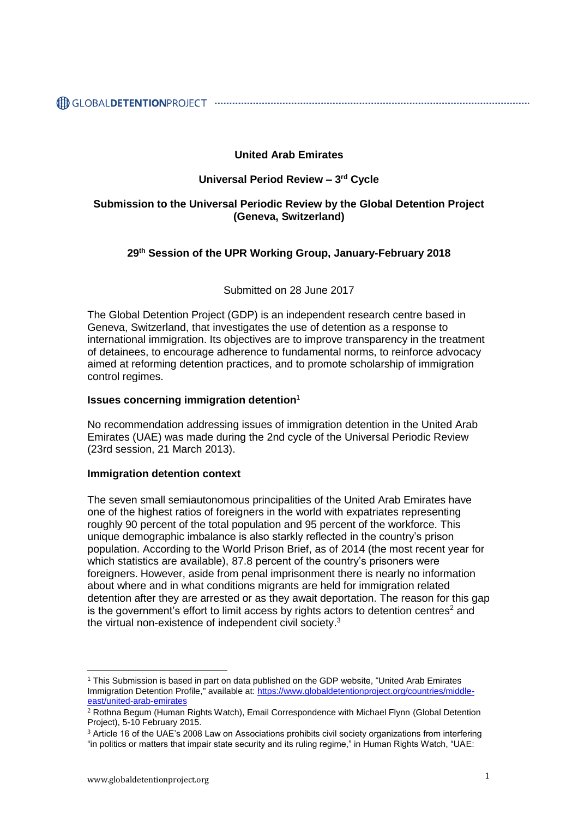## **United Arab Emirates**

# **Universal Period Review – 3 rd Cycle**

## **Submission to the Universal Periodic Review by the Global Detention Project (Geneva, Switzerland)**

## **29 th Session of the UPR Working Group, January-February 2018**

Submitted on 28 June 2017

The Global Detention Project (GDP) is an independent research centre based in Geneva, Switzerland, that investigates the use of detention as a response to international immigration. Its objectives are to improve transparency in the treatment of detainees, to encourage adherence to fundamental norms, to reinforce advocacy aimed at reforming detention practices, and to promote scholarship of immigration control regimes.

#### **Issues concerning immigration detention**<sup>1</sup>

No recommendation addressing issues of immigration detention in the United Arab Emirates (UAE) was made during the 2nd cycle of the Universal Periodic Review (23rd session, 21 March 2013).

## **Immigration detention context**

The seven small semiautonomous principalities of the United Arab Emirates have one of the highest ratios of foreigners in the world with expatriates representing roughly 90 percent of the total population and 95 percent of the workforce. This unique demographic imbalance is also starkly reflected in the country's prison population. According to the World Prison Brief, as of 2014 (the most recent year for which statistics are available), 87.8 percent of the country's prisoners were foreigners. However, aside from penal imprisonment there is nearly no information about where and in what conditions migrants are held for immigration related detention after they are arrested or as they await deportation. The reason for this gap is the government's effort to limit access by rights actors to detention centres $2$  and the virtual non-existence of independent civil society.<sup>3</sup>

<sup>1</sup> This Submission is based in part on data published on the GDP website, "United Arab Emirates Immigration Detention Profile," available at: [https://www.globaldetentionproject.org/countries/middle](https://www.globaldetentionproject.org/countries/middle-east/united-arab-emirates)[east/united-arab-emirates](https://www.globaldetentionproject.org/countries/middle-east/united-arab-emirates)

<sup>2</sup> Rothna Begum (Human Rights Watch), Email Correspondence with Michael Flynn (Global Detention Project), 5-10 February 2015.

<sup>3</sup> Article 16 of the UAE's 2008 Law on Associations prohibits civil society organizations from interfering "in politics or matters that impair state security and its ruling regime," in Human Rights Watch, "UAE: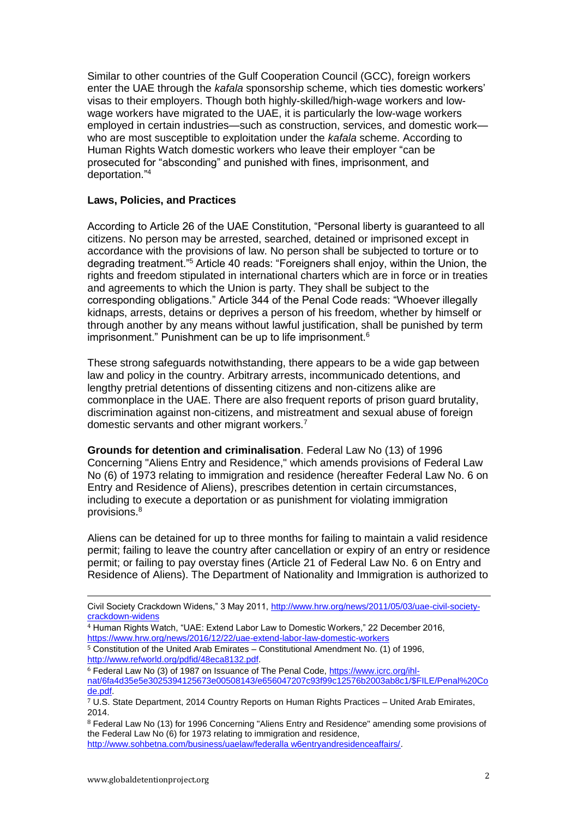Similar to other countries of the Gulf Cooperation Council (GCC), foreign workers enter the UAE through the *kafala* sponsorship scheme, which ties domestic workers' visas to their employers. Though both highly-skilled/high-wage workers and lowwage workers have migrated to the UAE, it is particularly the low-wage workers employed in certain industries—such as construction, services, and domestic work who are most susceptible to exploitation under the *kafala* scheme. According to Human Rights Watch domestic workers who leave their employer "can be prosecuted for "absconding" and punished with fines, imprisonment, and deportation." 4

#### **Laws, Policies, and Practices**

According to Article 26 of the UAE Constitution, "Personal liberty is guaranteed to all citizens. No person may be arrested, searched, detained or imprisoned except in accordance with the provisions of law. No person shall be subjected to torture or to degrading treatment."<sup>5</sup> Article 40 reads: "Foreigners shall enjoy, within the Union, the rights and freedom stipulated in international charters which are in force or in treaties and agreements to which the Union is party. They shall be subject to the corresponding obligations." Article 344 of the Penal Code reads: "Whoever illegally kidnaps, arrests, detains or deprives a person of his freedom, whether by himself or through another by any means without lawful justification, shall be punished by term imprisonment." Punishment can be up to life imprisonment.<sup>6</sup>

These strong safeguards notwithstanding, there appears to be a wide gap between law and policy in the country. Arbitrary arrests, incommunicado detentions, and lengthy pretrial detentions of dissenting citizens and non-citizens alike are commonplace in the UAE. There are also frequent reports of prison guard brutality, discrimination against non-citizens, and mistreatment and sexual abuse of foreign domestic servants and other migrant workers.<sup>7</sup>

**Grounds for detention and criminalisation**. Federal Law No (13) of 1996 Concerning "Aliens Entry and Residence," which amends provisions of Federal Law No (6) of 1973 relating to immigration and residence (hereafter Federal Law No. 6 on Entry and Residence of Aliens), prescribes detention in certain circumstances, including to execute a deportation or as punishment for violating immigration provisions.<sup>8</sup>

Aliens can be detained for up to three months for failing to maintain a valid residence permit; failing to leave the country after cancellation or expiry of an entry or residence permit; or failing to pay overstay fines (Article 21 of Federal Law No. 6 on Entry and Residence of Aliens). The Department of Nationality and Immigration is authorized to

- <sup>4</sup> Human Rights Watch, "UAE: Extend Labor Law to Domestic Workers," 22 December 2016, <https://www.hrw.org/news/2016/12/22/uae-extend-labor-law-domestic-workers>
- $\frac{1}{5}$  Constitution of the United Arab Emirates Constitutional Amendment No. (1) of 1996, [http://www.refworld.org/pdfid/48eca8132.pdf.](http://www.refworld.org/pdfid/48eca8132.pdf)
- <sup>6</sup> Federal Law No (3) of 1987 on Issuance of The Penal Code, [https://www.icrc.org/ihl](https://www.icrc.org/ihl-nat/6fa4d35e5e3025394125673e00508143/e656047207c93f99c12576b2003ab8c1/$FILE/Penal%20Code.pdf)[nat/6fa4d35e5e3025394125673e00508143/e656047207c93f99c12576b2003ab8c1/\\$FILE/Penal%20Co](https://www.icrc.org/ihl-nat/6fa4d35e5e3025394125673e00508143/e656047207c93f99c12576b2003ab8c1/$FILE/Penal%20Code.pdf) [de.pdf.](https://www.icrc.org/ihl-nat/6fa4d35e5e3025394125673e00508143/e656047207c93f99c12576b2003ab8c1/$FILE/Penal%20Code.pdf)

<sup>8</sup> Federal Law No (13) for 1996 Concerning "Aliens Entry and Residence" amending some provisions of the Federal Law No (6) for 1973 relating to immigration and residence, [http://www.sohbetna.com/business/uaelaw/federalla w6entryandresidenceaffairs/.](http://www.sohbetna.com/business/uaelaw/federalla%20w6entryandresidenceaffairs/)

Civil Society Crackdown Widens," 3 May 2011, [http://www.hrw.org/news/2011/05/03/uae-civil-society](http://www.hrw.org/news/2011/05/03/uae-civil-society-crackdown-widens)[crackdown-widens](http://www.hrw.org/news/2011/05/03/uae-civil-society-crackdown-widens)

<sup>7</sup> U.S. State Department, 2014 Country Reports on Human Rights Practices – United Arab Emirates, 2014.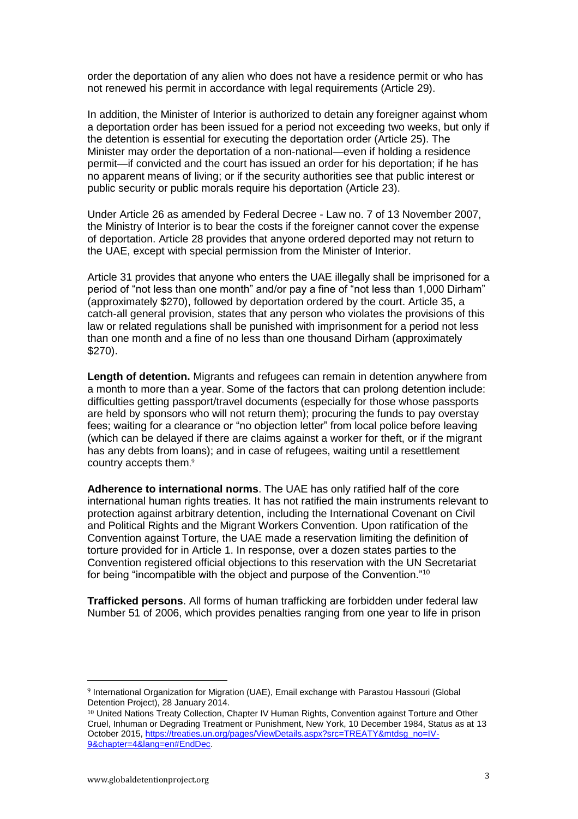order the deportation of any alien who does not have a residence permit or who has not renewed his permit in accordance with legal requirements (Article 29).

In addition, the Minister of Interior is authorized to detain any foreigner against whom a deportation order has been issued for a period not exceeding two weeks, but only if the detention is essential for executing the deportation order (Article 25). The Minister may order the deportation of a non-national—even if holding a residence permit—if convicted and the court has issued an order for his deportation; if he has no apparent means of living; or if the security authorities see that public interest or public security or public morals require his deportation (Article 23).

Under Article 26 as amended by Federal Decree - Law no. 7 of 13 November 2007, the Ministry of Interior is to bear the costs if the foreigner cannot cover the expense of deportation. Article 28 provides that anyone ordered deported may not return to the UAE, except with special permission from the Minister of Interior.

Article 31 provides that anyone who enters the UAE illegally shall be imprisoned for a period of "not less than one month" and/or pay a fine of "not less than 1,000 Dirham" (approximately \$270), followed by deportation ordered by the court. Article 35, a catch-all general provision, states that any person who violates the provisions of this law or related regulations shall be punished with imprisonment for a period not less than one month and a fine of no less than one thousand Dirham (approximately \$270).

**Length of detention.** Migrants and refugees can remain in detention anywhere from a month to more than a year. Some of the factors that can prolong detention include: difficulties getting passport/travel documents (especially for those whose passports are held by sponsors who will not return them); procuring the funds to pay overstay fees; waiting for a clearance or "no objection letter" from local police before leaving (which can be delayed if there are claims against a worker for theft, or if the migrant has any debts from loans); and in case of refugees, waiting until a resettlement country accepts them. 9

**Adherence to international norms**. The UAE has only ratified half of the core international human rights treaties. It has not ratified the main instruments relevant to protection against arbitrary detention, including the International Covenant on Civil and Political Rights and the Migrant Workers Convention. Upon ratification of the Convention against Torture, the UAE made a reservation limiting the definition of torture provided for in Article 1. In response, over a dozen states parties to the Convention registered official objections to this reservation with the UN Secretariat for being "incompatible with the object and purpose of the Convention."<sup>10</sup>

**Trafficked persons**. All forms of human trafficking are forbidden under federal law Number 51 of 2006, which provides penalties ranging from one year to life in prison

<sup>9</sup> International Organization for Migration (UAE), Email exchange with Parastou Hassouri (Global Detention Project), 28 January 2014.

<sup>&</sup>lt;sup>10</sup> United Nations Treaty Collection, Chapter IV Human Rights, Convention against Torture and Other Cruel, Inhuman or Degrading Treatment or Punishment, New York, 10 December 1984, Status as at 13 October 2015[, https://treaties.un.org/pages/ViewDetails.aspx?src=TREATY&mtdsg\\_no=IV-](https://treaties.un.org/pages/ViewDetails.aspx?src=TREATY&mtdsg_no=IV-9&chapter=4&lang=en#EndDec)[9&chapter=4&lang=en#EndDec.](https://treaties.un.org/pages/ViewDetails.aspx?src=TREATY&mtdsg_no=IV-9&chapter=4&lang=en#EndDec)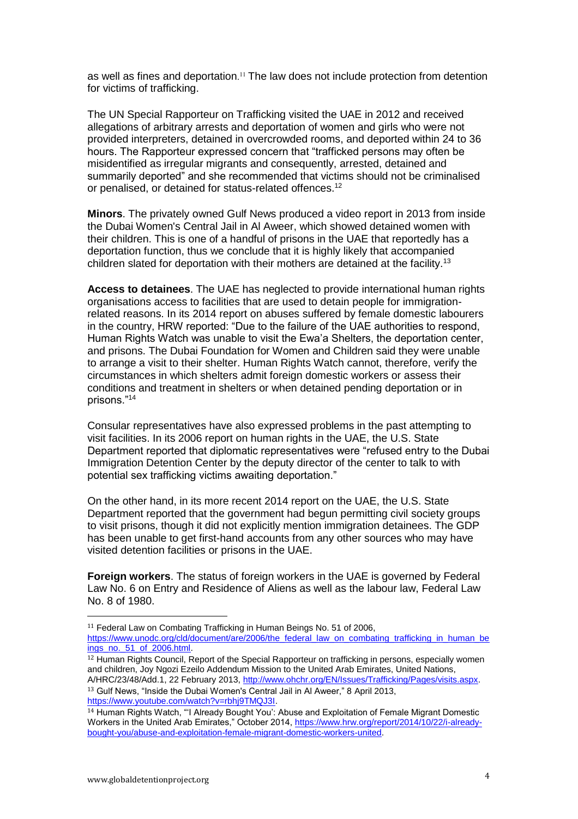as well as fines and deportation. <sup>11</sup> The law does not include protection from detention for victims of trafficking.

The UN Special Rapporteur on Trafficking visited the UAE in 2012 and received allegations of arbitrary arrests and deportation of women and girls who were not provided interpreters, detained in overcrowded rooms, and deported within 24 to 36 hours. The Rapporteur expressed concern that "trafficked persons may often be misidentified as irregular migrants and consequently, arrested, detained and summarily deported" and she recommended that victims should not be criminalised or penalised, or detained for status-related offences.<sup>12</sup>

**Minors**. The privately owned Gulf News produced a video report in 2013 from inside the Dubai Women's Central Jail in Al Aweer, which showed detained women with their children. This is one of a handful of prisons in the UAE that reportedly has a deportation function, thus we conclude that it is highly likely that accompanied children slated for deportation with their mothers are detained at the facility.<sup>13</sup>

**Access to detainees**. The UAE has neglected to provide international human rights organisations access to facilities that are used to detain people for immigrationrelated reasons. In its 2014 report on abuses suffered by female domestic labourers in the country, HRW reported: "Due to the failure of the UAE authorities to respond, Human Rights Watch was unable to visit the Ewa'a Shelters, the deportation center, and prisons. The Dubai Foundation for Women and Children said they were unable to arrange a visit to their shelter. Human Rights Watch cannot, therefore, verify the circumstances in which shelters admit foreign domestic workers or assess their conditions and treatment in shelters or when detained pending deportation or in prisons."<sup>14</sup>

Consular representatives have also expressed problems in the past attempting to visit facilities. In its 2006 report on human rights in the UAE, the U.S. State Department reported that diplomatic representatives were "refused entry to the Dubai Immigration Detention Center by the deputy director of the center to talk to with potential sex trafficking victims awaiting deportation."

On the other hand, in its more recent 2014 report on the UAE, the U.S. State Department reported that the government had begun permitting civil society groups to visit prisons, though it did not explicitly mention immigration detainees. The GDP has been unable to get first-hand accounts from any other sources who may have visited detention facilities or prisons in the UAE.

**Foreign workers**. The status of foreign workers in the UAE is governed by Federal Law No. 6 on Entry and Residence of Aliens as well as the labour law, Federal Law No. 8 of 1980.

<sup>13</sup> Gulf News, "Inside the Dubai Women's Central Jail in Al Aweer," 8 April 2013, [https://www.youtube.com/watch?v=rbhj9TMQJ3I.](https://www.youtube.com/watch?v=rbhj9TMQJ3I)

<sup>&</sup>lt;sup>11</sup> Federal Law on Combating Trafficking in Human Beings No. 51 of 2006, [https://www.unodc.org/cld/document/are/2006/the\\_federal\\_law\\_on\\_combating\\_trafficking\\_in\\_human\\_be](https://www.unodc.org/cld/document/are/2006/the_federal_law_on_combating_trafficking_in_human_beings_no._51_of_2006.html) [ings\\_no.\\_51\\_of\\_2006.html.](https://www.unodc.org/cld/document/are/2006/the_federal_law_on_combating_trafficking_in_human_beings_no._51_of_2006.html)

<sup>&</sup>lt;sup>12</sup> Human Rights Council, Report of the Special Rapporteur on trafficking in persons, especially women and children, Joy Ngozi Ezeilo Addendum Mission to the United Arab Emirates, United Nations, A/HRC/23/48/Add.1, 22 February 2013, [http://www.ohchr.org/EN/Issues/Trafficking/Pages/visits.aspx.](http://www.ohchr.org/EN/Issues/Trafficking/Pages/visits.aspx)

<sup>14</sup> Human Rights Watch, "'I Already Bought You': Abuse and Exploitation of Female Migrant Domestic Workers in the United Arab Emirates," October 2014[, https://www.hrw.org/report/2014/10/22/i-already](https://www.hrw.org/report/2014/10/22/i-already-bought-you/abuse-and-exploitation-female-migrant-domestic-workers-united)[bought-you/abuse-and-exploitation-female-migrant-domestic-workers-united.](https://www.hrw.org/report/2014/10/22/i-already-bought-you/abuse-and-exploitation-female-migrant-domestic-workers-united)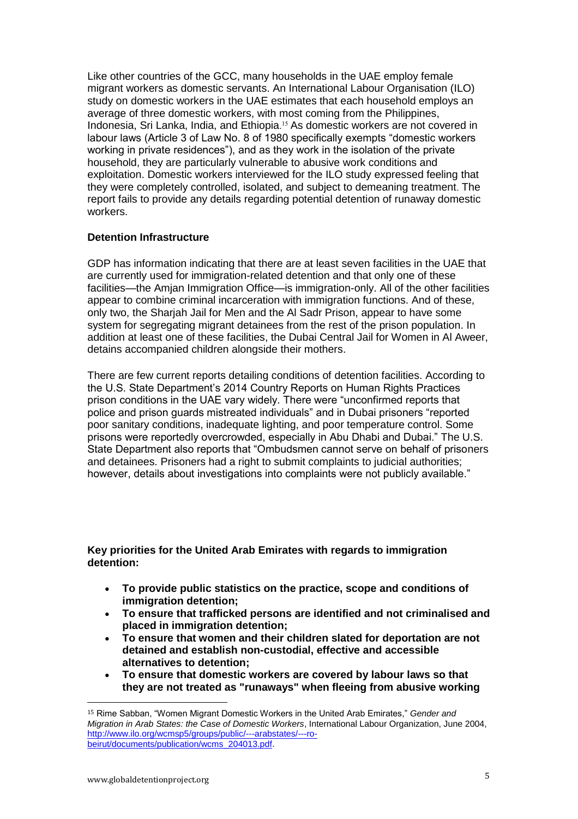Like other countries of the GCC, many households in the UAE employ female migrant workers as domestic servants. An International Labour Organisation (ILO) study on domestic workers in the UAE estimates that each household employs an average of three domestic workers, with most coming from the Philippines, Indonesia, Sri Lanka, India, and Ethiopia. <sup>15</sup> As domestic workers are not covered in labour laws (Article 3 of Law No. 8 of 1980 specifically exempts "domestic workers working in private residences"), and as they work in the isolation of the private household, they are particularly vulnerable to abusive work conditions and exploitation. Domestic workers interviewed for the ILO study expressed feeling that they were completely controlled, isolated, and subject to demeaning treatment. The report fails to provide any details regarding potential detention of runaway domestic workers.

#### **Detention Infrastructure**

GDP has information indicating that there are at least seven facilities in the UAE that are currently used for immigration-related detention and that only one of these facilities—the Amjan Immigration Office—is immigration-only. All of the other facilities appear to combine criminal incarceration with immigration functions. And of these, only two, the Sharjah Jail for Men and the Al Sadr Prison, appear to have some system for segregating migrant detainees from the rest of the prison population. In addition at least one of these facilities, the Dubai Central Jail for Women in Al Aweer, detains accompanied children alongside their mothers.

There are few current reports detailing conditions of detention facilities. According to the U.S. State Department's 2014 Country Reports on Human Rights Practices prison conditions in the UAE vary widely. There were "unconfirmed reports that police and prison guards mistreated individuals" and in Dubai prisoners "reported poor sanitary conditions, inadequate lighting, and poor temperature control. Some prisons were reportedly overcrowded, especially in Abu Dhabi and Dubai." The U.S. State Department also reports that "Ombudsmen cannot serve on behalf of prisoners and detainees. Prisoners had a right to submit complaints to judicial authorities; however, details about investigations into complaints were not publicly available."

## **Key priorities for the United Arab Emirates with regards to immigration detention:**

- **To provide public statistics on the practice, scope and conditions of immigration detention;**
- **To ensure that trafficked persons are identified and not criminalised and placed in immigration detention;**
- **To ensure that women and their children slated for deportation are not detained and establish non-custodial, effective and accessible alternatives to detention;**
- **To ensure that domestic workers are covered by labour laws so that they are not treated as "runaways" when fleeing from abusive working**

<sup>15</sup> Rime Sabban, "Women Migrant Domestic Workers in the United Arab Emirates," *Gender and Migration in Arab States: the Case of Domestic Workers*, International Labour Organization, June 2004, [http://www.ilo.org/wcmsp5/groups/public/---arabstates/---ro](http://www.ilo.org/wcmsp5/groups/public/---arabstates/---ro-beirut/documents/publication/wcms_204013.pdf)[beirut/documents/publication/wcms\\_204013.pdf.](http://www.ilo.org/wcmsp5/groups/public/---arabstates/---ro-beirut/documents/publication/wcms_204013.pdf)